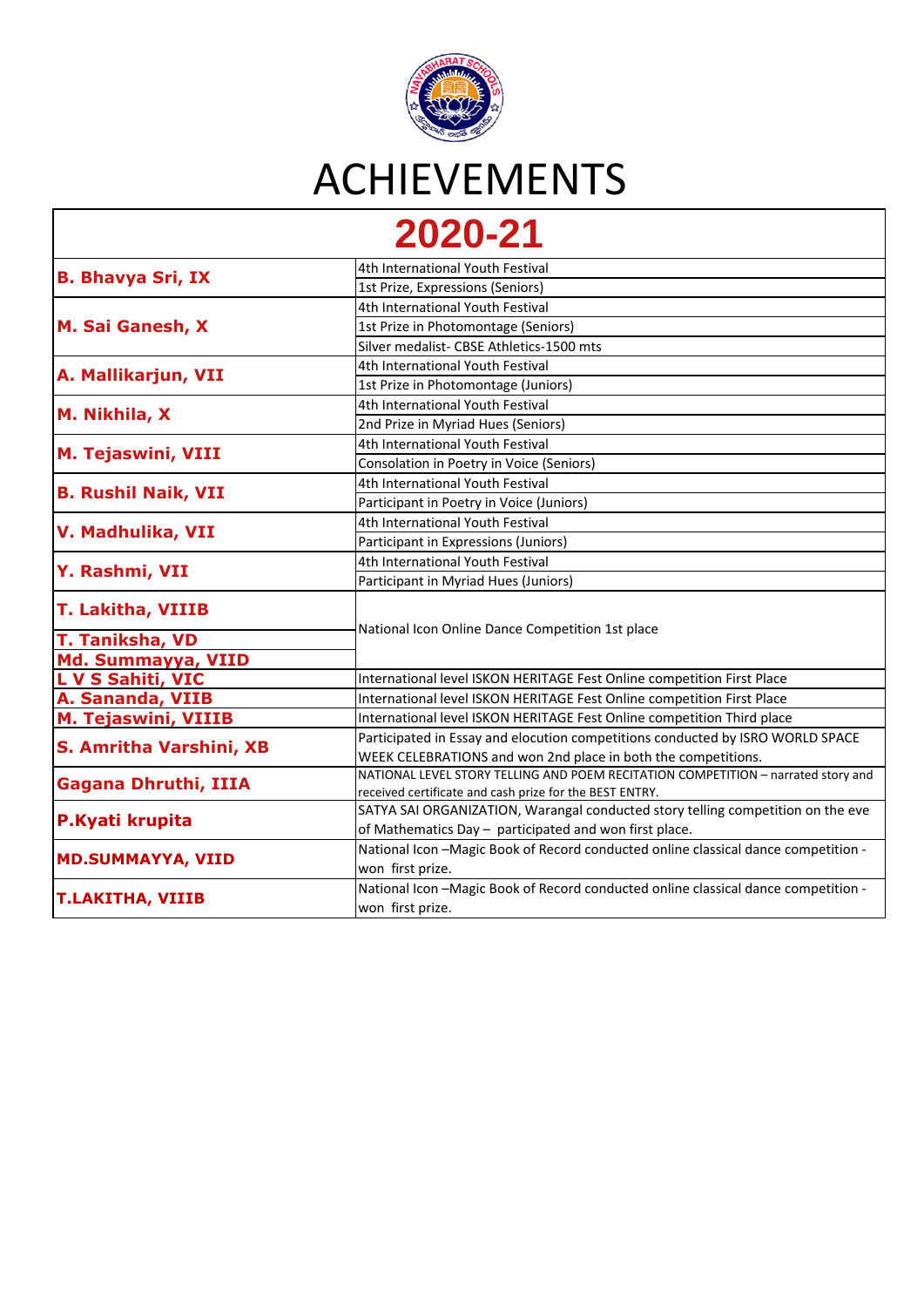

| AVAV AI                     |                                                                                   |
|-----------------------------|-----------------------------------------------------------------------------------|
| <b>B. Bhavya Sri, IX</b>    | 4th International Youth Festival                                                  |
|                             | 1st Prize, Expressions (Seniors)                                                  |
| M. Sai Ganesh, X            | 4th International Youth Festival                                                  |
|                             | 1st Prize in Photomontage (Seniors)                                               |
|                             | Silver medalist- CBSE Athletics-1500 mts                                          |
| A. Mallikarjun, VII         | 4th International Youth Festival                                                  |
|                             | 1st Prize in Photomontage (Juniors)                                               |
| M. Nikhila, X               | 4th International Youth Festival                                                  |
|                             | 2nd Prize in Myriad Hues (Seniors)                                                |
| <b>M. Tejaswini, VIII</b>   | 4th International Youth Festival                                                  |
|                             | Consolation in Poetry in Voice (Seniors)                                          |
|                             | 4th International Youth Festival                                                  |
| <b>B. Rushil Naik, VII</b>  | Participant in Poetry in Voice (Juniors)                                          |
| V. Madhulika, VII           | 4th International Youth Festival                                                  |
|                             | Participant in Expressions (Juniors)                                              |
|                             | 4th International Youth Festival                                                  |
| Y. Rashmi, VII              | Participant in Myriad Hues (Juniors)                                              |
| <b>T. Lakitha, VIIIB</b>    |                                                                                   |
|                             | National Icon Online Dance Competition 1st place                                  |
| <b>T. Taniksha, VD</b>      |                                                                                   |
| Md. Summayya, VIID          |                                                                                   |
| <b>L V S Sahiti, VIC</b>    | International level ISKON HERITAGE Fest Online competition First Place            |
| A. Sananda, VIIB            | International level ISKON HERITAGE Fest Online competition First Place            |
| <b>M. Tejaswini, VIIIB</b>  | International level ISKON HERITAGE Fest Online competition Third place            |
| S. Amritha Varshini, XB     | Participated in Essay and elocution competitions conducted by ISRO WORLD SPACE    |
|                             | WEEK CELEBRATIONS and won 2nd place in both the competitions.                     |
| <b>Gagana Dhruthi, IIIA</b> | NATIONAL LEVEL STORY TELLING AND POEM RECITATION COMPETITION - narrated story and |
|                             | received certificate and cash prize for the BEST ENTRY.                           |
| P.Kyati krupita             | SATYA SAI ORGANIZATION, Warangal conducted story telling competition on the eve   |
|                             | of Mathematics Day - participated and won first place.                            |
| <b>MD.SUMMAYYA, VIID</b>    | National Icon-Magic Book of Record conducted online classical dance competition - |
|                             | won first prize.                                                                  |
| <b>T.LAKITHA, VIIIB</b>     | National Icon-Magic Book of Record conducted online classical dance competition - |
|                             | won first prize.                                                                  |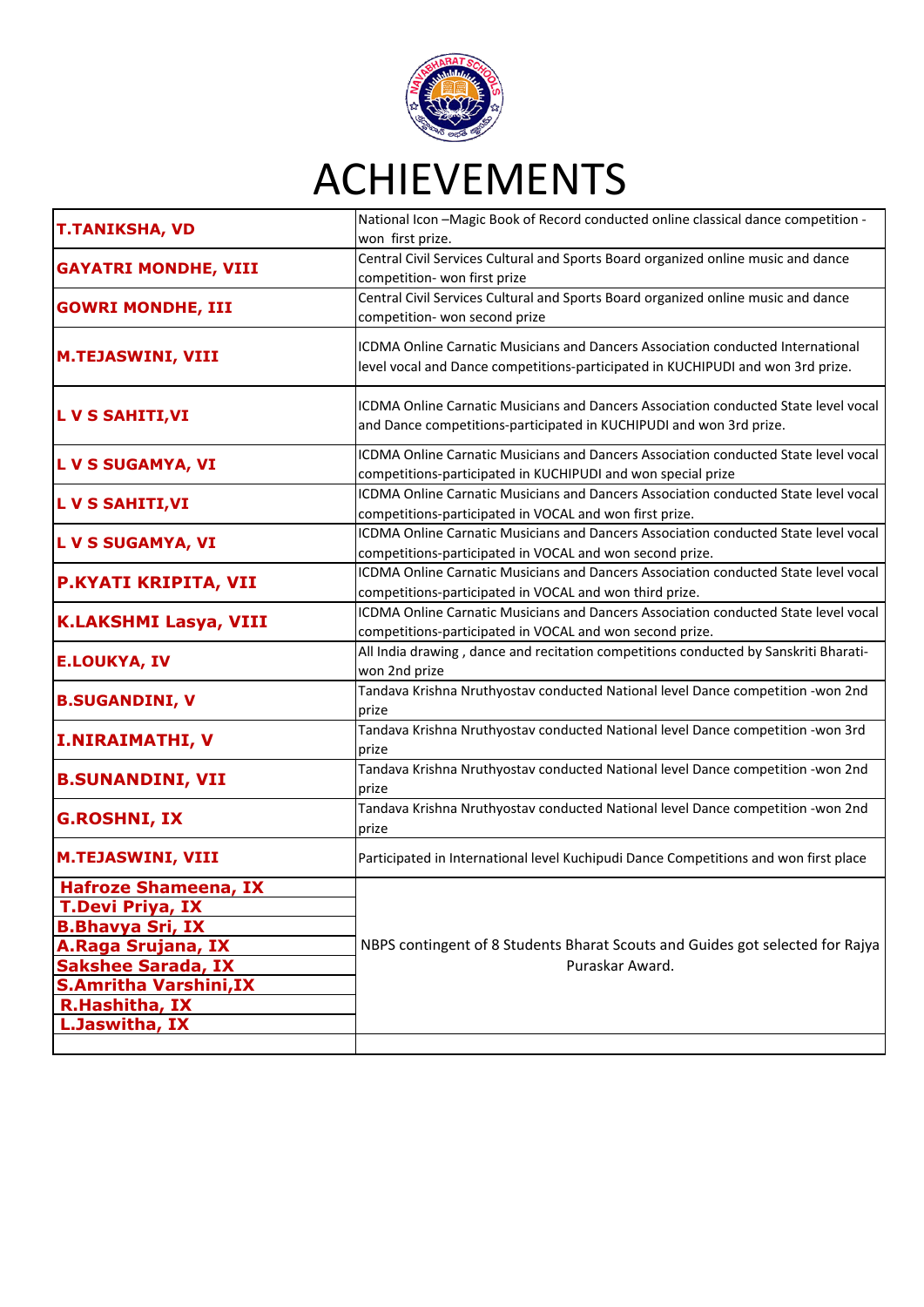

| <b>T.TANIKSHA, VD</b>                                                                                                                                                                                     | National Icon - Magic Book of Record conducted online classical dance competition -<br>won first prize.                                                            |
|-----------------------------------------------------------------------------------------------------------------------------------------------------------------------------------------------------------|--------------------------------------------------------------------------------------------------------------------------------------------------------------------|
| <b>GAYATRI MONDHE, VIII</b>                                                                                                                                                                               | Central Civil Services Cultural and Sports Board organized online music and dance<br>competition- won first prize                                                  |
| <b>GOWRI MONDHE, III</b>                                                                                                                                                                                  | Central Civil Services Cultural and Sports Board organized online music and dance<br>competition- won second prize                                                 |
| <b>M.TEJASWINI, VIII</b>                                                                                                                                                                                  | ICDMA Online Carnatic Musicians and Dancers Association conducted International<br>level vocal and Dance competitions-participated in KUCHIPUDI and won 3rd prize. |
| <b>L V S SAHITI, VI</b>                                                                                                                                                                                   | ICDMA Online Carnatic Musicians and Dancers Association conducted State level vocal<br>and Dance competitions-participated in KUCHIPUDI and won 3rd prize.         |
| L V S SUGAMYA, VI                                                                                                                                                                                         | ICDMA Online Carnatic Musicians and Dancers Association conducted State level vocal<br>competitions-participated in KUCHIPUDI and won special prize                |
| <b>LVS SAHITI, VI</b>                                                                                                                                                                                     | ICDMA Online Carnatic Musicians and Dancers Association conducted State level vocal<br>competitions-participated in VOCAL and won first prize.                     |
| L V S SUGAMYA, VI                                                                                                                                                                                         | ICDMA Online Carnatic Musicians and Dancers Association conducted State level vocal<br>competitions-participated in VOCAL and won second prize.                    |
| P.KYATI KRIPITA, VII                                                                                                                                                                                      | ICDMA Online Carnatic Musicians and Dancers Association conducted State level vocal<br>competitions-participated in VOCAL and won third prize.                     |
| <b>K.LAKSHMI Lasya, VIII</b>                                                                                                                                                                              | ICDMA Online Carnatic Musicians and Dancers Association conducted State level vocal<br>competitions-participated in VOCAL and won second prize.                    |
| <b>E.LOUKYA, IV</b>                                                                                                                                                                                       | All India drawing, dance and recitation competitions conducted by Sanskriti Bharati-<br>won 2nd prize                                                              |
| <b>B.SUGANDINI, V</b>                                                                                                                                                                                     | Tandava Krishna Nruthyostav conducted National level Dance competition -won 2nd<br>prize                                                                           |
| <b>I.NIRAIMATHI, V</b>                                                                                                                                                                                    | Tandava Krishna Nruthyostav conducted National level Dance competition -won 3rd<br>prize                                                                           |
| <b>B.SUNANDINI, VII</b>                                                                                                                                                                                   | Tandava Krishna Nruthyostav conducted National level Dance competition -won 2nd<br>prize                                                                           |
| <b>G.ROSHNI, IX</b>                                                                                                                                                                                       | Tandava Krishna Nruthyostav conducted National level Dance competition -won 2nd<br>prize                                                                           |
| <b>M.TEJASWINI, VIII</b>                                                                                                                                                                                  | Participated in International level Kuchipudi Dance Competitions and won first place                                                                               |
| <b>Hafroze Shameena, IX</b><br><b>T.Devi Priya, IX</b><br><b>B.Bhavya Sri, IX</b><br>A.Raga Srujana, IX<br><b>Sakshee Sarada, IX</b><br><b>S.Amritha Varshini, IX</b><br>R.Hashitha, IX<br>L.Jaswitha, IX | NBPS contingent of 8 Students Bharat Scouts and Guides got selected for Rajya<br>Puraskar Award.                                                                   |
|                                                                                                                                                                                                           |                                                                                                                                                                    |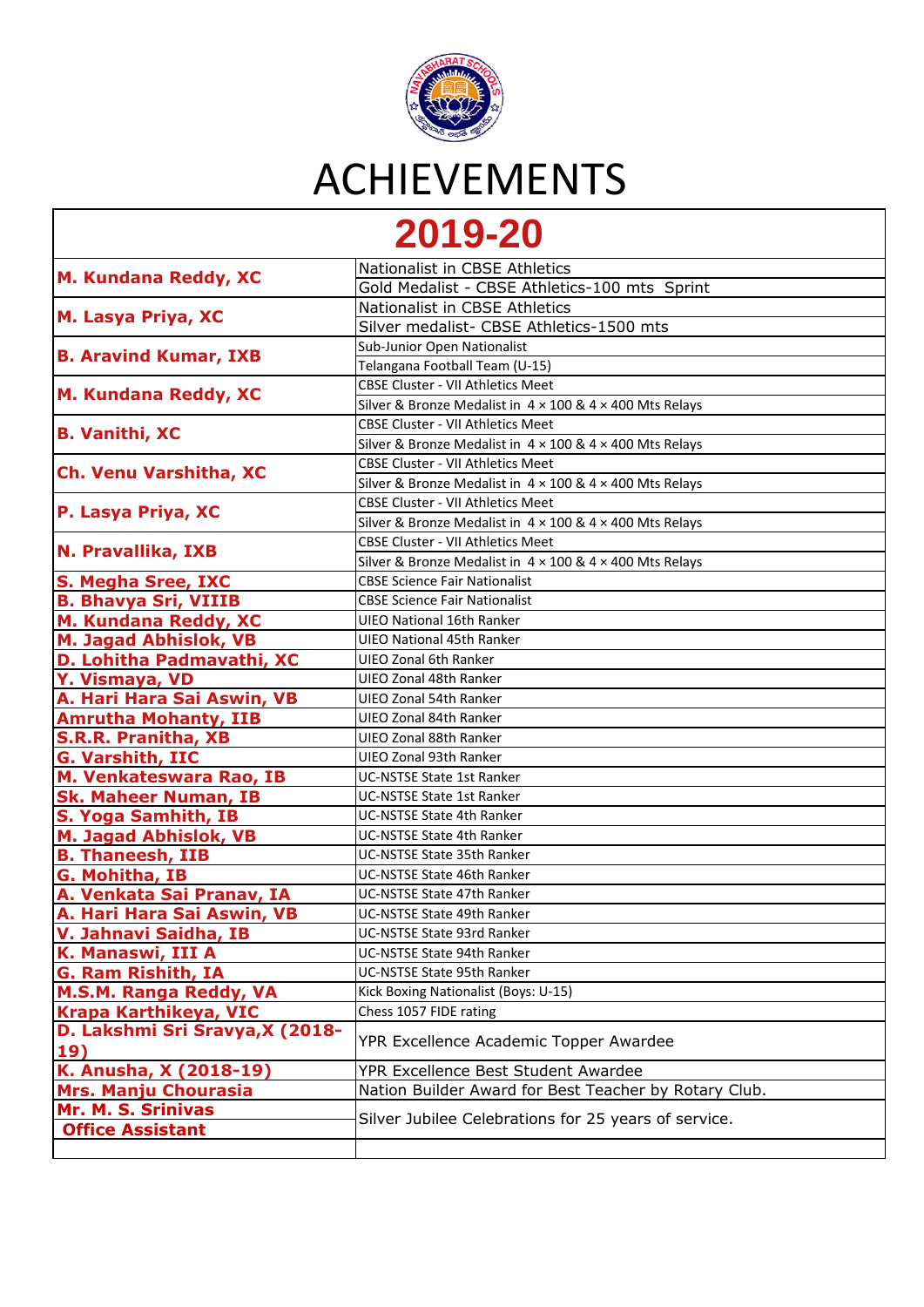

#### **[2](https://nbps.in/v1/achievements.php#top)019-20**

|                                 | Nationalist in CBSE Athletics                                          |
|---------------------------------|------------------------------------------------------------------------|
| M. Kundana Reddy, XC            | Gold Medalist - CBSE Athletics-100 mts Sprint                          |
| M. Lasya Priya, XC              | Nationalist in CBSE Athletics                                          |
|                                 | Silver medalist- CBSE Athletics-1500 mts                               |
|                                 | Sub-Junior Open Nationalist                                            |
| <b>B. Aravind Kumar, IXB</b>    | Telangana Football Team (U-15)                                         |
|                                 | <b>CBSE Cluster - VII Athletics Meet</b>                               |
| M. Kundana Reddy, XC            | Silver & Bronze Medalist in $4 \times 100$ & $4 \times 400$ Mts Relays |
|                                 | <b>CBSE Cluster - VII Athletics Meet</b>                               |
| <b>B. Vanithi, XC</b>           | Silver & Bronze Medalist in $4 \times 100$ & $4 \times 400$ Mts Relays |
|                                 | CBSE Cluster - VII Athletics Meet                                      |
| Ch. Venu Varshitha, XC          | Silver & Bronze Medalist in $4 \times 100$ & $4 \times 400$ Mts Relays |
|                                 | <b>CBSE Cluster - VII Athletics Meet</b>                               |
| P. Lasya Priya, XC              | Silver & Bronze Medalist in $4 \times 100$ & $4 \times 400$ Mts Relays |
|                                 | <b>CBSE Cluster - VII Athletics Meet</b>                               |
| N. Pravallika, IXB              | Silver & Bronze Medalist in $4 \times 100$ & $4 \times 400$ Mts Relays |
| <b>S. Megha Sree, IXC</b>       | <b>CBSE Science Fair Nationalist</b>                                   |
| <b>B. Bhavya Sri, VIIIB</b>     | <b>CBSE Science Fair Nationalist</b>                                   |
| M. Kundana Reddy, XC            | UIEO National 16th Ranker                                              |
| M. Jagad Abhislok, VB           | <b>UIEO National 45th Ranker</b>                                       |
| D. Lohitha Padmavathi, XC       | <b>UIEO Zonal 6th Ranker</b>                                           |
| Y. Vismaya, VD                  | UIEO Zonal 48th Ranker                                                 |
| A. Hari Hara Sai Aswin, VB      | UIEO Zonal 54th Ranker                                                 |
| <b>Amrutha Mohanty, IIB</b>     | UIEO Zonal 84th Ranker                                                 |
| <b>S.R.R. Pranitha, XB</b>      | UIEO Zonal 88th Ranker                                                 |
| G. Varshith, IIC                | UIEO Zonal 93th Ranker                                                 |
| M. Venkateswara Rao, IB         | UC-NSTSE State 1st Ranker                                              |
| <b>Sk. Maheer Numan, IB</b>     | UC-NSTSE State 1st Ranker                                              |
| S. Yoga Samhith, IB             | UC-NSTSE State 4th Ranker                                              |
| <b>M. Jagad Abhislok, VB</b>    | UC-NSTSE State 4th Ranker                                              |
| <b>B. Thaneesh, IIB</b>         | UC-NSTSE State 35th Ranker                                             |
| G. Mohitha, IB                  | UC-NSTSE State 46th Ranker                                             |
| A. Venkata Sai Pranav, IA       | UC-NSTSE State 47th Ranker                                             |
| A. Hari Hara Sai Aswin, VB      | UC-NSTSE State 49th Ranker                                             |
| V. Jahnavi Saidha, IB           | UC-NSTSE State 93rd Ranker                                             |
| K. Manaswi, III A               | UC-NSTSE State 94th Ranker                                             |
| <b>G. Ram Rishith, IA</b>       | UC-NSTSE State 95th Ranker                                             |
| M.S.M. Ranga Reddy, VA          | Kick Boxing Nationalist (Boys: U-15)                                   |
| Krapa Karthikeya, VIC           | Chess 1057 FIDE rating                                                 |
| D. Lakshmi Sri Sravya, X (2018- | YPR Excellence Academic Topper Awardee                                 |
| 19)                             |                                                                        |
| K. Anusha, X (2018-19)          | YPR Excellence Best Student Awardee                                    |
| <b>Mrs. Manju Chourasia</b>     | Nation Builder Award for Best Teacher by Rotary Club.                  |
| Mr. M. S. Srinivas              | Silver Jubilee Celebrations for 25 years of service.                   |
| <b>Office Assistant</b>         |                                                                        |
|                                 |                                                                        |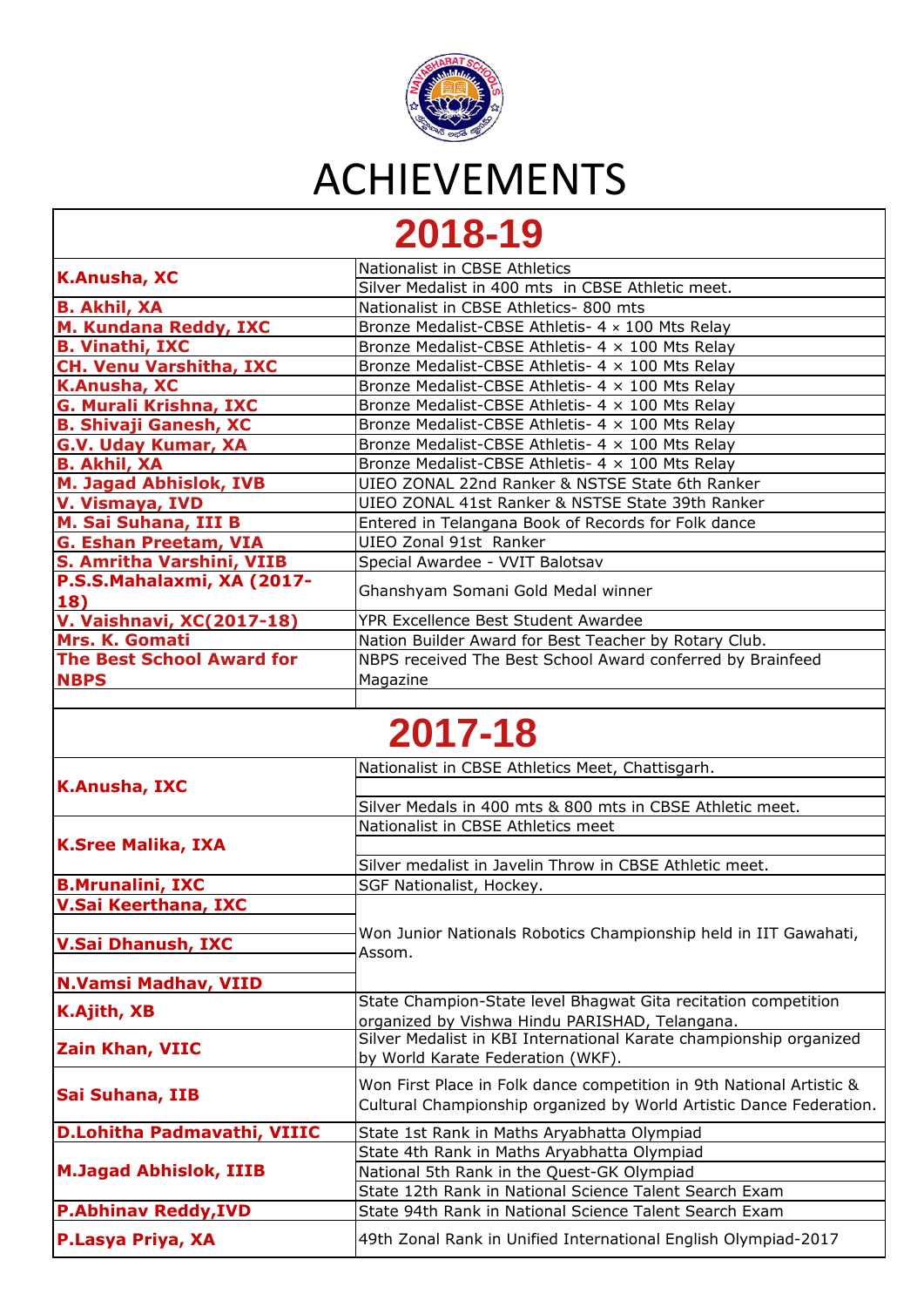

#### **[2](https://nbps.in/v1/achievements.php#top)018-19**

| <b>K.Anusha, XC</b>              | Nationalist in CBSE Athletics                              |
|----------------------------------|------------------------------------------------------------|
|                                  | Silver Medalist in 400 mts in CBSE Athletic meet.          |
| <b>B. Akhil, XA</b>              | Nationalist in CBSE Athletics- 800 mts                     |
| M. Kundana Reddy, IXC            | Bronze Medalist-CBSE Athletis- 4 x 100 Mts Relay           |
| <b>B. Vinathi, IXC</b>           | Bronze Medalist-CBSE Athletis- $4 \times 100$ Mts Relay    |
| <b>CH. Venu Varshitha, IXC</b>   | Bronze Medalist-CBSE Athletis- $4 \times 100$ Mts Relay    |
| <b>K.Anusha, XC</b>              | Bronze Medalist-CBSE Athletis- 4 x 100 Mts Relay           |
| G. Murali Krishna, IXC           | Bronze Medalist-CBSE Athletis- 4 x 100 Mts Relay           |
| <b>B. Shivaji Ganesh, XC</b>     | Bronze Medalist-CBSE Athletis- 4 x 100 Mts Relay           |
| <b>G.V. Uday Kumar, XA</b>       | Bronze Medalist-CBSE Athletis- $4 \times 100$ Mts Relay    |
| <b>B. Akhil, XA</b>              | Bronze Medalist-CBSE Athletis- 4 x 100 Mts Relay           |
| <b>M. Jagad Abhislok, IVB</b>    | UIEO ZONAL 22nd Ranker & NSTSE State 6th Ranker            |
| V. Vismaya, IVD                  | UIEO ZONAL 41st Ranker & NSTSE State 39th Ranker           |
| M. Sai Suhana, III B             | Entered in Telangana Book of Records for Folk dance        |
| G. Eshan Preetam, VIA            | UIEO Zonal 91st Ranker                                     |
| S. Amritha Varshini, VIIB        | Special Awardee - VVIT Balotsav                            |
| P.S.S.Mahalaxmi, XA (2017-       | Ghanshyam Somani Gold Medal winner                         |
| <b>18</b>                        |                                                            |
| <b>V. Vaishnavi, XC(2017-18)</b> | YPR Excellence Best Student Awardee                        |
| Mrs. K. Gomati                   | Nation Builder Award for Best Teacher by Rotary Club.      |
| <b>The Best School Award for</b> | NBPS received The Best School Award conferred by Brainfeed |
| <b>NBPS</b>                      | Magazine                                                   |
|                                  |                                                            |

#### **[2](https://nbps.in/v1/achievements.php#top)017-18**

| <b>K.Anusha, IXC</b>          | Nationalist in CBSE Athletics Meet, Chattisgarh.                     |
|-------------------------------|----------------------------------------------------------------------|
|                               |                                                                      |
|                               | Silver Medals in 400 mts & 800 mts in CBSE Athletic meet.            |
|                               | Nationalist in CBSE Athletics meet                                   |
| <b>K.Sree Malika, IXA</b>     |                                                                      |
|                               | Silver medalist in Javelin Throw in CBSE Athletic meet.              |
| <b>B.Mrunalini, IXC</b>       | SGF Nationalist, Hockey.                                             |
| <b>V.Sai Keerthana, IXC</b>   |                                                                      |
|                               | Won Junior Nationals Robotics Championship held in IIT Gawahati,     |
| <b>V.Sai Dhanush, IXC</b>     | Assom.                                                               |
|                               |                                                                      |
| <b>N.Vamsi Madhav, VIID</b>   |                                                                      |
| K.Ajith, XB                   | State Champion-State level Bhagwat Gita recitation competition       |
|                               | organized by Vishwa Hindu PARISHAD, Telangana.                       |
| <b>Zain Khan, VIIC</b>        | Silver Medalist in KBI International Karate championship organized   |
|                               | by World Karate Federation (WKF).                                    |
|                               | Won First Place in Folk dance competition in 9th National Artistic & |
| Sai Suhana, IIB               | Cultural Championship organized by World Artistic Dance Federation.  |
| D.Lohitha Padmavathi, VIIIC   | State 1st Rank in Maths Aryabhatta Olympiad                          |
|                               | State 4th Rank in Maths Aryabhatta Olympiad                          |
| <b>M.Jagad Abhislok, IIIB</b> | National 5th Rank in the Quest-GK Olympiad                           |
|                               | State 12th Rank in National Science Talent Search Exam               |
| <b>P.Abhinav Reddy, IVD</b>   | State 94th Rank in National Science Talent Search Exam               |
| <b>P.Lasya Priya, XA</b>      | 49th Zonal Rank in Unified International English Olympiad-2017       |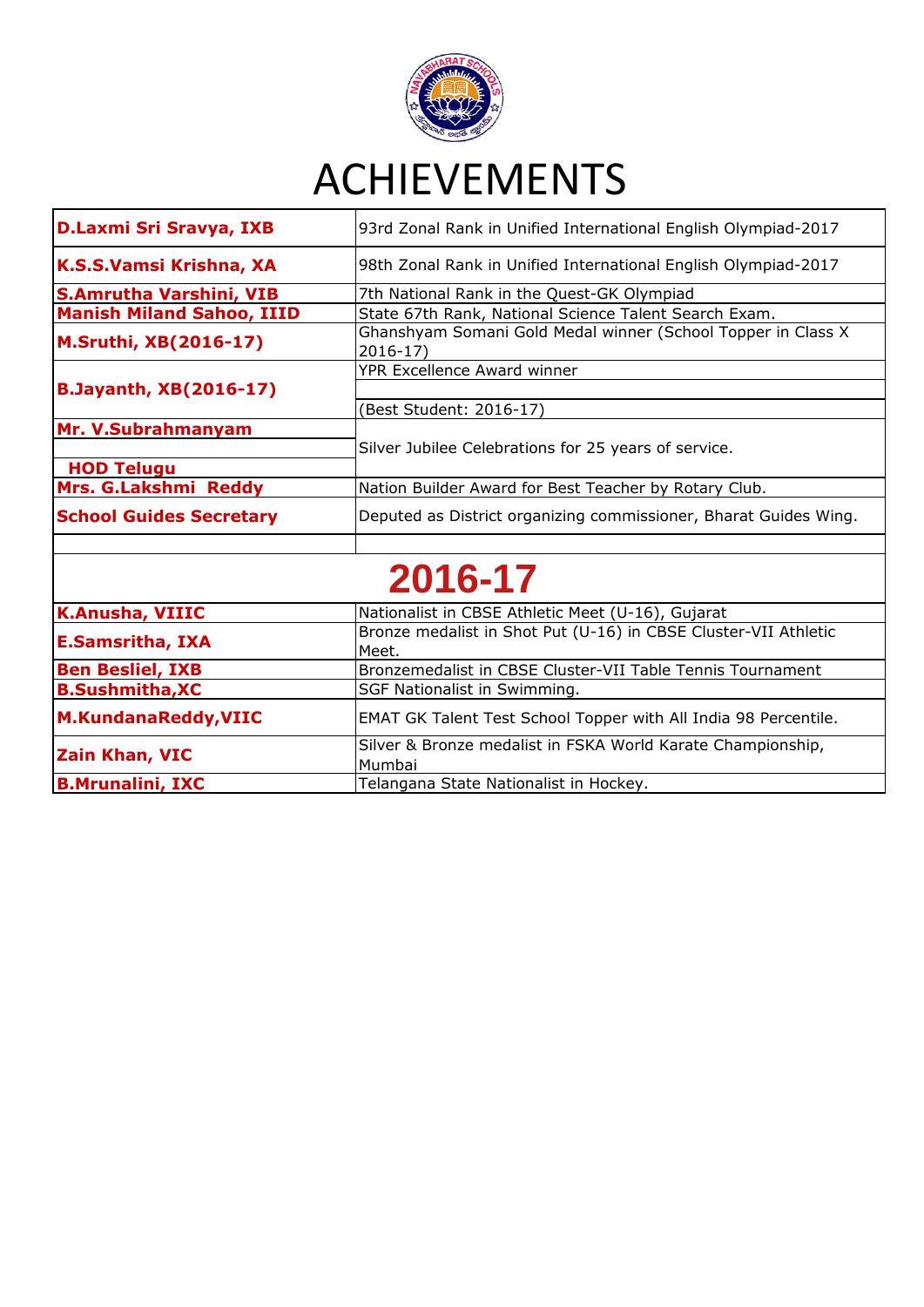

| D.Laxmi Sri Sravya, IXB          | 93rd Zonal Rank in Unified International English Olympiad-2017              |
|----------------------------------|-----------------------------------------------------------------------------|
| K.S.S.Vamsi Krishna, XA          | 98th Zonal Rank in Unified International English Olympiad-2017              |
| <b>S.Amrutha Varshini, VIB</b>   | 7th National Rank in the Quest-GK Olympiad                                  |
| <b>Manish Miland Sahoo, IIID</b> | State 67th Rank, National Science Talent Search Exam.                       |
| <b>M.Sruthi, XB(2016-17)</b>     | Ghanshyam Somani Gold Medal winner (School Topper in Class X<br>$2016 - 17$ |
|                                  | YPR Excellence Award winner                                                 |
| <b>B.Jayanth, XB(2016-17)</b>    |                                                                             |
|                                  | (Best Student: 2016-17)                                                     |
| Mr. V.Subrahmanyam               |                                                                             |
|                                  | Silver Jubilee Celebrations for 25 years of service.                        |
| <b>HOD Telugu</b>                |                                                                             |
| Mrs. G.Lakshmi Reddy             | Nation Builder Award for Best Teacher by Rotary Club.                       |
| <b>School Guides Secretary</b>   | Deputed as District organizing commissioner, Bharat Guides Wing.            |
|                                  |                                                                             |
|                                  | 2016-17                                                                     |
| <b>K.Anusha, VIIIC</b>           | Nationalist in CBSE Athletic Meet (U-16), Gujarat                           |
| <b>E.Samsritha, IXA</b>          | Bronze medalist in Shot Put (U-16) in CBSE Cluster-VII Athletic<br>Meet.    |
| <b>Ben Besliel, IXB</b>          | Bronzemedalist in CBSE Cluster-VII Table Tennis Tournament                  |
| <b>B.Sushmitha, XC</b>           | SGF Nationalist in Swimming.                                                |
| <b>M.KundanaReddy, VIIC</b>      | EMAT GK Talent Test School Topper with All India 98 Percentile.             |
| <b>Zain Khan, VIC</b>            | Silver & Bronze medalist in FSKA World Karate Championship,<br>Mumbai       |
| <b>B.Mrunalini, IXC</b>          | Telangana State Nationalist in Hockey.                                      |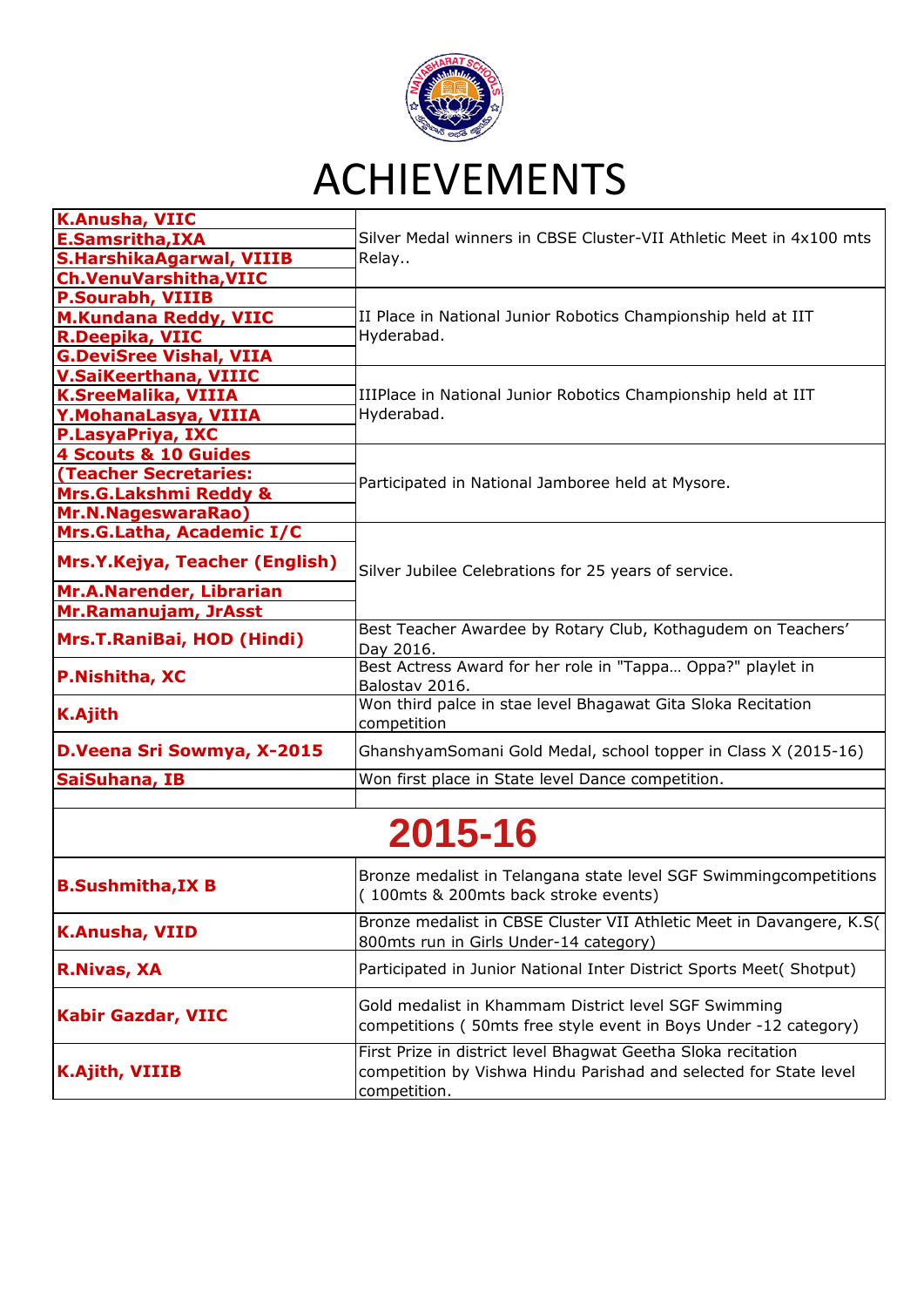

| <b>K.Anusha, VIIC</b>            |                                                                                                                                                    |
|----------------------------------|----------------------------------------------------------------------------------------------------------------------------------------------------|
| E.Samsritha, IXA                 | Silver Medal winners in CBSE Cluster-VII Athletic Meet in 4x100 mts                                                                                |
| <b>S.HarshikaAgarwal, VIIIB</b>  | Relay                                                                                                                                              |
| <b>Ch.VenuVarshitha, VIIC</b>    |                                                                                                                                                    |
| <b>P.Sourabh, VIIIB</b>          |                                                                                                                                                    |
| <b>M.Kundana Reddy, VIIC</b>     | II Place in National Junior Robotics Championship held at IIT                                                                                      |
| <b>R.Deepika, VIIC</b>           | Hyderabad.                                                                                                                                         |
| <b>G.DeviSree Vishal, VIIA</b>   |                                                                                                                                                    |
| <b>V.SaiKeerthana, VIIIC</b>     |                                                                                                                                                    |
| <b>K.SreeMalika, VIIIA</b>       | IIIPlace in National Junior Robotics Championship held at IIT                                                                                      |
| Y. Mohana Lasya, VIIIA           | Hyderabad.                                                                                                                                         |
| P.LasyaPriya, IXC                |                                                                                                                                                    |
| 4 Scouts & 10 Guides             |                                                                                                                                                    |
| (Teacher Secretaries:            |                                                                                                                                                    |
| <b>Mrs.G.Lakshmi Reddy &amp;</b> | Participated in National Jamboree held at Mysore.                                                                                                  |
| <b>Mr.N.NageswaraRao)</b>        |                                                                                                                                                    |
| Mrs.G.Latha, Academic I/C        |                                                                                                                                                    |
| Mrs.Y.Kejya, Teacher (English)   | Silver Jubilee Celebrations for 25 years of service.                                                                                               |
| <b>Mr.A.Narender, Librarian</b>  |                                                                                                                                                    |
| Mr.Ramanujam, JrAsst             |                                                                                                                                                    |
| Mrs.T.RaniBai, HOD (Hindi)       | Best Teacher Awardee by Rotary Club, Kothagudem on Teachers'<br>Day 2016.                                                                          |
| <b>P.Nishitha, XC</b>            | Best Actress Award for her role in "Tappa Oppa?" playlet in<br>Balostav 2016.                                                                      |
| <b>K.Ajith</b>                   | Won third palce in stae level Bhagawat Gita Sloka Recitation<br>competition                                                                        |
| D.Veena Sri Sowmya, X-2015       | GhanshyamSomani Gold Medal, school topper in Class X (2015-16)                                                                                     |
| SaiSuhana, IB                    | Won first place in State level Dance competition.                                                                                                  |
|                                  |                                                                                                                                                    |
| 2015-16                          |                                                                                                                                                    |
| <b>B.Sushmitha, IX B</b>         | Bronze medalist in Telangana state level SGF Swimmingcompetitions<br>(100mts & 200mts back stroke events)                                          |
| <b>K.Anusha, VIID</b>            | Bronze medalist in CBSE Cluster VII Athletic Meet in Davangere, K.S(<br>800mts run in Girls Under-14 category)                                     |
| <b>R.Nivas, XA</b>               | Participated in Junior National Inter District Sports Meet( Shotput)                                                                               |
| <b>Kabir Gazdar, VIIC</b>        | Gold medalist in Khammam District level SGF Swimming<br>competitions (50mts free style event in Boys Under -12 category)                           |
| <b>K.Ajith, VIIIB</b>            | First Prize in district level Bhagwat Geetha Sloka recitation<br>competition by Vishwa Hindu Parishad and selected for State level<br>competition. |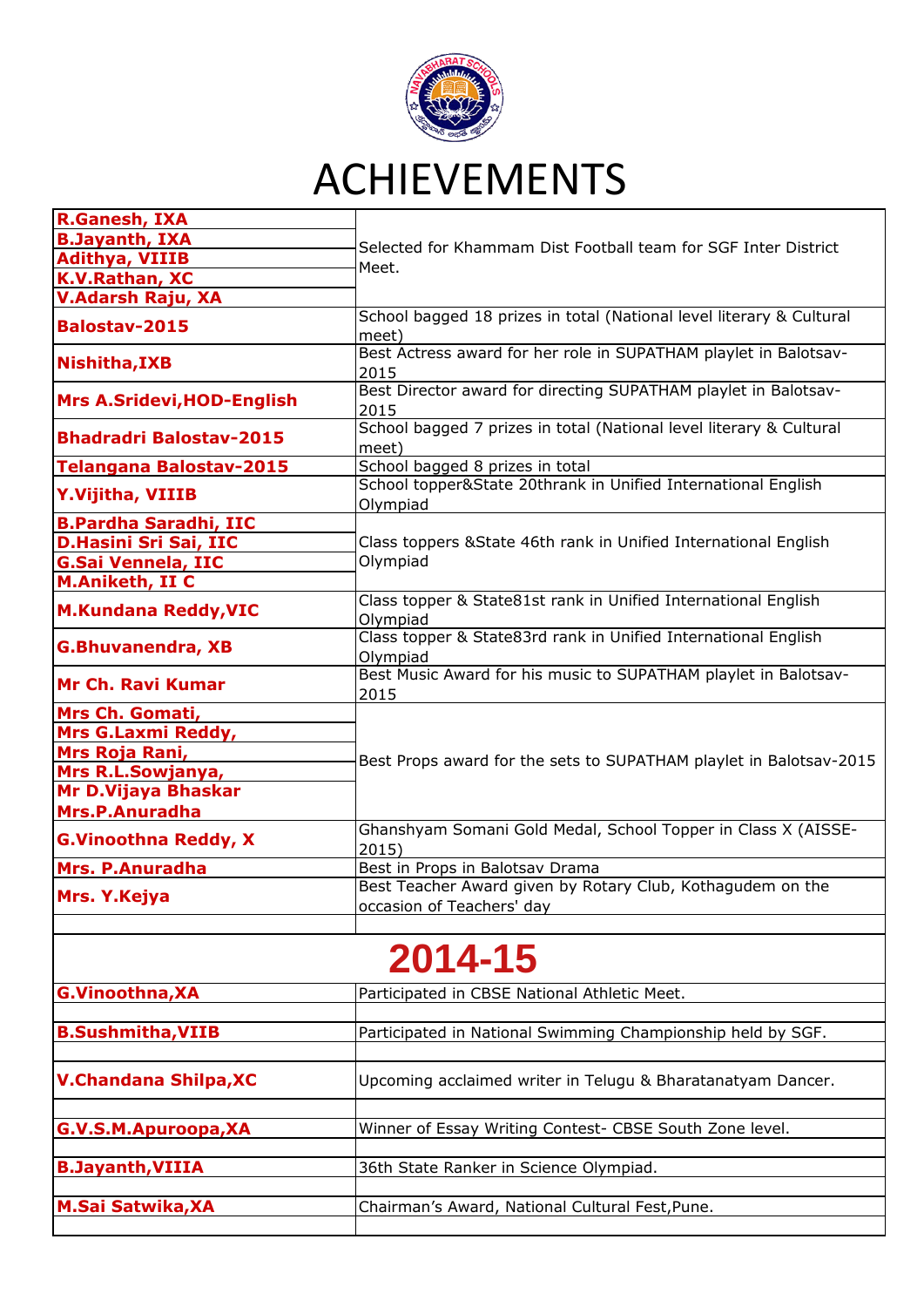

| <b>R.Ganesh, IXA</b>                  |                                                                                         |
|---------------------------------------|-----------------------------------------------------------------------------------------|
| <b>B.Jayanth, IXA</b>                 | Selected for Khammam Dist Football team for SGF Inter District<br>Meet.                 |
| <b>Adithya, VIIIB</b>                 |                                                                                         |
| K.V.Rathan, XC                        |                                                                                         |
| V.Adarsh Raju, XA                     |                                                                                         |
| <b>Balostav-2015</b>                  | School bagged 18 prizes in total (National level literary & Cultural<br>meet)           |
| Nishitha, IXB                         | Best Actress award for her role in SUPATHAM playlet in Balotsav-<br>2015                |
| <b>Mrs A.Sridevi, HOD-English</b>     | Best Director award for directing SUPATHAM playlet in Balotsav-<br>2015                 |
| <b>Bhadradri Balostav-2015</b>        | School bagged 7 prizes in total (National level literary & Cultural<br>meet)            |
| <b>Telangana Balostav-2015</b>        | School bagged 8 prizes in total                                                         |
| <b>Y.Vijitha, VIIIB</b>               | School topper&State 20thrank in Unified International English<br>Olympiad               |
| <b>B.Pardha Saradhi, IIC</b>          |                                                                                         |
| D.Hasini Sri Sai, IIC                 | Class toppers & State 46th rank in Unified International English                        |
| <b>G.Sai Vennela, IIC</b>             | Olympiad                                                                                |
| <b>M.Aniketh, II C</b>                |                                                                                         |
| <b>M.Kundana Reddy, VIC</b>           | Class topper & State81st rank in Unified International English<br>Olympiad              |
| <b>G.Bhuvanendra, XB</b>              | Class topper & State83rd rank in Unified International English<br>Olympiad              |
| <b>Mr Ch. Ravi Kumar</b>              | Best Music Award for his music to SUPATHAM playlet in Balotsav-<br>2015                 |
| Mrs Ch. Gomati,                       |                                                                                         |
| Mrs G.Laxmi Reddy,                    |                                                                                         |
| Mrs Roja Rani,                        |                                                                                         |
| Mrs R.L.Sowjanya,                     | Best Props award for the sets to SUPATHAM playlet in Balotsav-2015                      |
| Mr D.Vijaya Bhaskar<br>Mrs.P.Anuradha |                                                                                         |
| <b>G.Vinoothna Reddy, X</b>           | Ghanshyam Somani Gold Medal, School Topper in Class X (AISSE-<br>2015)                  |
| Mrs. P.Anuradha                       | Best in Props in Balotsav Drama                                                         |
| Mrs. Y.Kejya                          | Best Teacher Award given by Rotary Club, Kothagudem on the<br>occasion of Teachers' day |
|                                       |                                                                                         |
|                                       | 2014-15                                                                                 |

| 4. |
|----|
|----|

| G.Vinoothna, XA              | Participated in CBSE National Athletic Meet.                |
|------------------------------|-------------------------------------------------------------|
| <b>B.Sushmitha, VIIB</b>     | Participated in National Swimming Championship held by SGF. |
| <b>V.Chandana Shilpa, XC</b> | Upcoming acclaimed writer in Telugu & Bharatanatyam Dancer. |
| G.V.S.M.Apuroopa, XA         | Winner of Essay Writing Contest- CBSE South Zone level.     |
| <b>B.Jayanth, VIIIA</b>      | 36th State Ranker in Science Olympiad.                      |
| <b>M.Sai Satwika, XA</b>     | Chairman's Award, National Cultural Fest, Pune.             |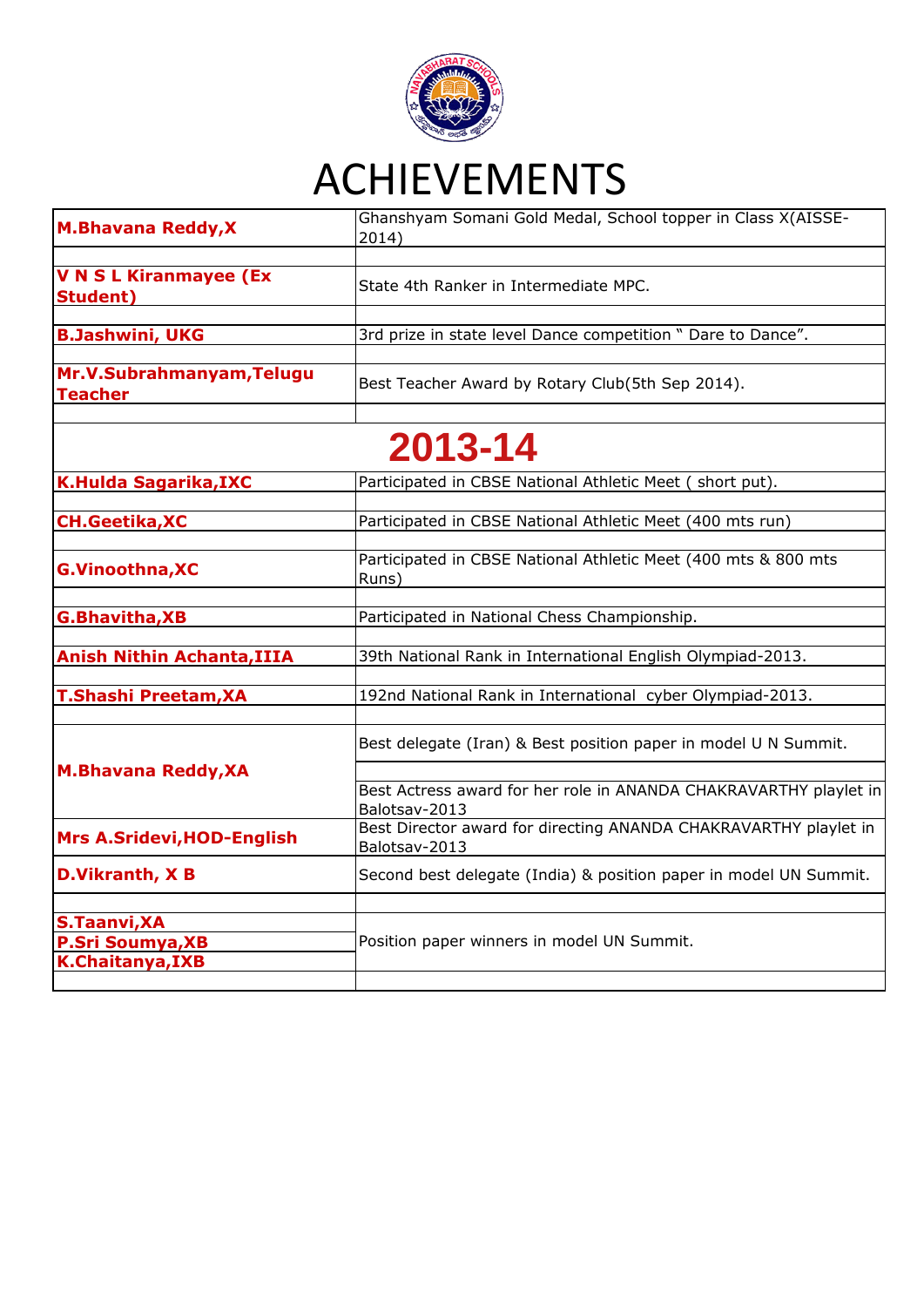

| <b>M.Bhavana Reddy, X</b>                                                 | Ghanshyam Somani Gold Medal, School topper in Class X(AISSE-<br>2014)              |
|---------------------------------------------------------------------------|------------------------------------------------------------------------------------|
|                                                                           |                                                                                    |
| <b>V N S L Kiranmayee (Ex</b><br><b>Student</b> )                         | State 4th Ranker in Intermediate MPC.                                              |
| <b>B.Jashwini, UKG</b>                                                    | 3rd prize in state level Dance competition " Dare to Dance".                       |
| Mr.V.Subrahmanyam, Telugu<br><b>Teacher</b>                               | Best Teacher Award by Rotary Club(5th Sep 2014).                                   |
|                                                                           | 2013-14                                                                            |
| <b>K.Hulda Sagarika, IXC</b>                                              | Participated in CBSE National Athletic Meet (short put).                           |
| <b>CH.Geetika, XC</b>                                                     | Participated in CBSE National Athletic Meet (400 mts run)                          |
| <b>G.Vinoothna, XC</b>                                                    | Participated in CBSE National Athletic Meet (400 mts & 800 mts<br>Runs)            |
| <b>G.Bhavitha, XB</b>                                                     | Participated in National Chess Championship.                                       |
| <b>Anish Nithin Achanta, IIIA</b>                                         | 39th National Rank in International English Olympiad-2013.                         |
| T.Shashi Preetam, XA                                                      | 192nd National Rank in International cyber Olympiad-2013.                          |
|                                                                           | Best delegate (Iran) & Best position paper in model U N Summit.                    |
| <b>M.Bhavana Reddy, XA</b>                                                | Best Actress award for her role in ANANDA CHAKRAVARTHY playlet in<br>Balotsav-2013 |
| <b>Mrs A.Sridevi, HOD-English</b>                                         | Best Director award for directing ANANDA CHAKRAVARTHY playlet in<br>Balotsav-2013  |
| D.Vikranth, XB                                                            | Second best delegate (India) & position paper in model UN Summit.                  |
| <b>S.Taanvi, XA</b><br><b>P.Sri Soumya, XB</b><br><b>K.Chaitanya, IXB</b> | Position paper winners in model UN Summit.                                         |
|                                                                           |                                                                                    |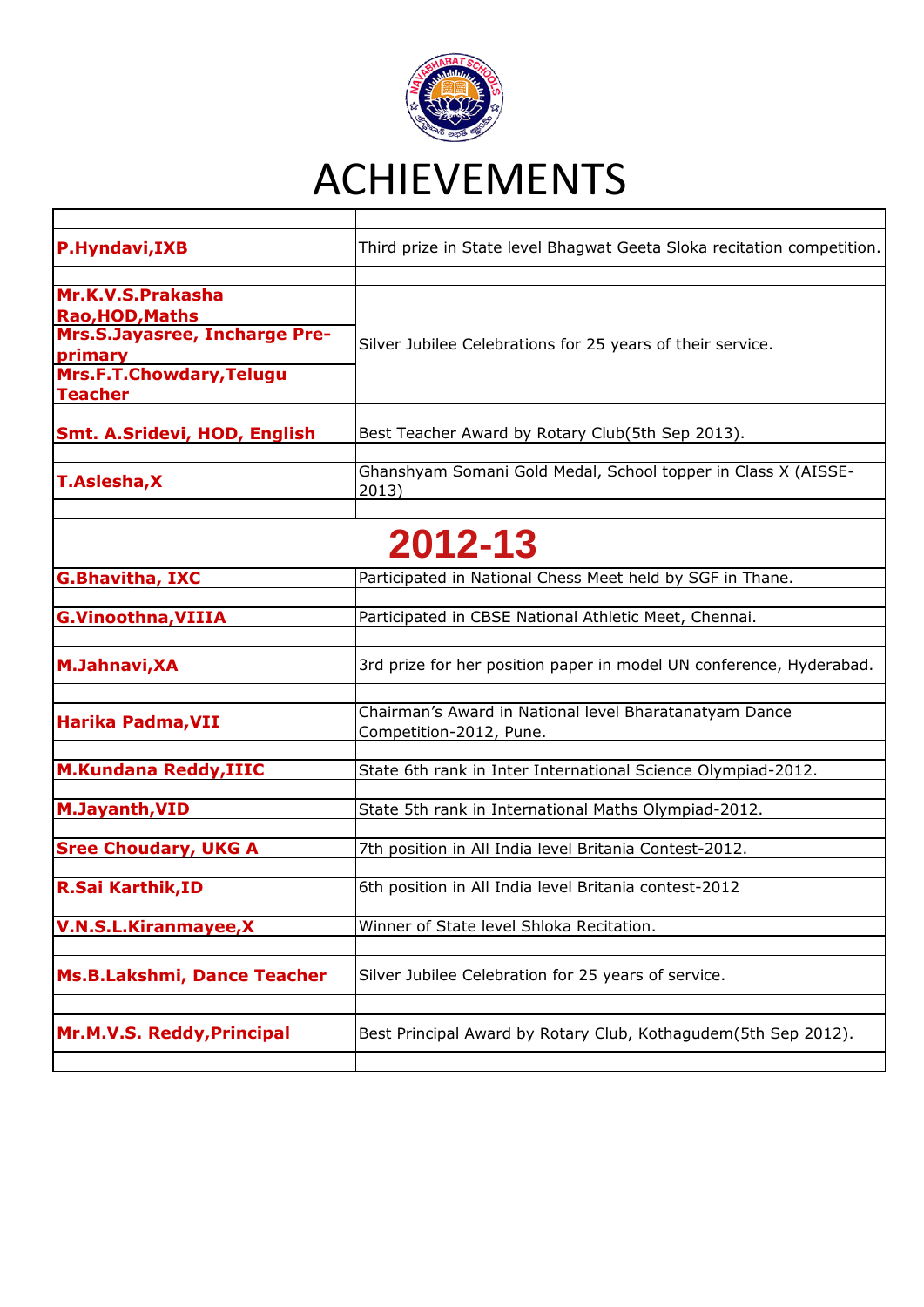

| P.Hyndavi, IXB                                                                                                                        | Third prize in State level Bhagwat Geeta Sloka recitation competition.            |
|---------------------------------------------------------------------------------------------------------------------------------------|-----------------------------------------------------------------------------------|
| Mr.K.V.S.Prakasha<br><b>Rao, HOD, Maths</b><br>Mrs.S.Jayasree, Incharge Pre-<br>primary<br>Mrs.F.T.Chowdary, Telugu<br><b>Teacher</b> | Silver Jubilee Celebrations for 25 years of their service.                        |
| <b>Smt. A.Sridevi, HOD, English</b>                                                                                                   | Best Teacher Award by Rotary Club(5th Sep 2013).                                  |
| <b>T.Aslesha, X</b>                                                                                                                   | Ghanshyam Somani Gold Medal, School topper in Class X (AISSE-<br>2013)            |
|                                                                                                                                       | 2012-13                                                                           |
| <b>G.Bhavitha, IXC</b>                                                                                                                | Participated in National Chess Meet held by SGF in Thane.                         |
| <b>G.Vinoothna, VIIIA</b>                                                                                                             | Participated in CBSE National Athletic Meet, Chennai.                             |
| <b>M.Jahnavi, XA</b>                                                                                                                  | 3rd prize for her position paper in model UN conference, Hyderabad.               |
| Harika Padma, VII                                                                                                                     | Chairman's Award in National level Bharatanatyam Dance<br>Competition-2012, Pune. |
| <b>M.Kundana Reddy, IIIC</b>                                                                                                          | State 6th rank in Inter International Science Olympiad-2012.                      |
| <b>M.Jayanth, VID</b>                                                                                                                 | State 5th rank in International Maths Olympiad-2012.                              |
| <b>Sree Choudary, UKG A</b>                                                                                                           | 7th position in All India level Britania Contest-2012.                            |
| <b>R.Sai Karthik, ID</b>                                                                                                              | 6th position in All India level Britania contest-2012                             |
| <b>V.N.S.L.Kiranmayee,X</b>                                                                                                           | Winner of State level Shloka Recitation.                                          |
| <b>Ms.B.Lakshmi, Dance Teacher</b>                                                                                                    | Silver Jubilee Celebration for 25 years of service.                               |
| Mr.M.V.S. Reddy, Principal                                                                                                            | Best Principal Award by Rotary Club, Kothagudem(5th Sep 2012).                    |
|                                                                                                                                       |                                                                                   |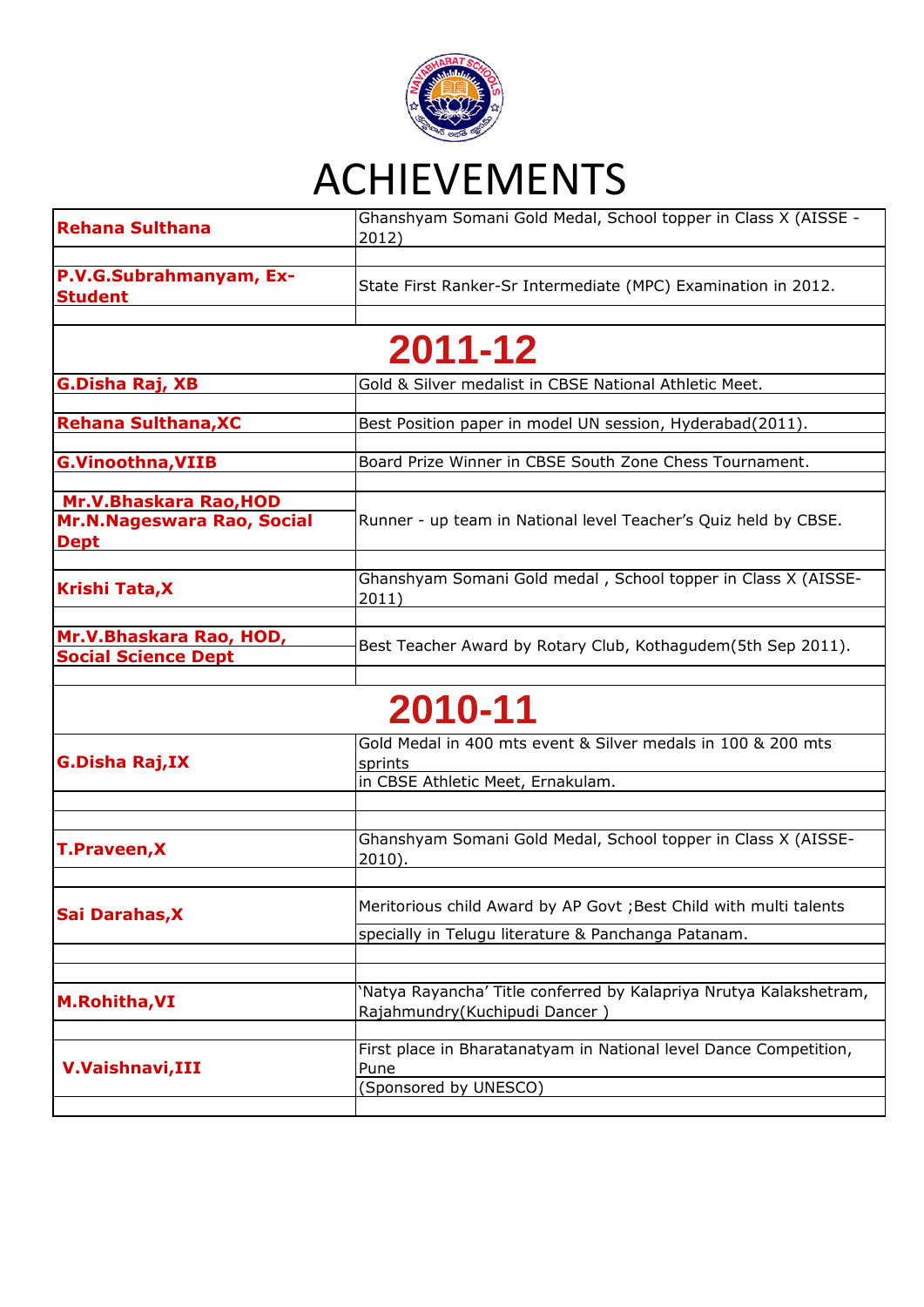

| Rehana Sulthana                                                     | Ghanshyam Somani Gold Medal, School topper in Class X (AISSE -<br>2012)                                                  |  |  |
|---------------------------------------------------------------------|--------------------------------------------------------------------------------------------------------------------------|--|--|
| P.V.G.Subrahmanyam, Ex-<br><b>Student</b>                           | State First Ranker-Sr Intermediate (MPC) Examination in 2012.                                                            |  |  |
| 2011-12                                                             |                                                                                                                          |  |  |
| G.Disha Raj, XB                                                     | Gold & Silver medalist in CBSE National Athletic Meet.                                                                   |  |  |
| <b>Rehana Sulthana, XC</b>                                          | Best Position paper in model UN session, Hyderabad(2011).                                                                |  |  |
| <b>G.Vinoothna, VIIB</b>                                            | Board Prize Winner in CBSE South Zone Chess Tournament.                                                                  |  |  |
| Mr.V.Bhaskara Rao, HOD<br>Mr.N.Nageswara Rao, Social<br><b>Dept</b> | Runner - up team in National level Teacher's Quiz held by CBSE.                                                          |  |  |
| <b>Krishi Tata, X</b>                                               | Ghanshyam Somani Gold medal, School topper in Class X (AISSE-<br>2011)                                                   |  |  |
| Mr.V.Bhaskara Rao, HOD,<br><b>Social Science Dept</b>               | Best Teacher Award by Rotary Club, Kothagudem (5th Sep 2011).                                                            |  |  |
|                                                                     | 2010-11                                                                                                                  |  |  |
| <b>G.Disha Raj,IX</b>                                               | Gold Medal in 400 mts event & Silver medals in 100 & 200 mts<br>sprints<br>in CBSE Athletic Meet, Ernakulam.             |  |  |
| <b>T.Praveen, X</b>                                                 | Ghanshyam Somani Gold Medal, School topper in Class X (AISSE-<br>$2010$ ).                                               |  |  |
| Sai Darahas, X                                                      | Meritorious child Award by AP Govt; Best Child with multi talents<br>specially in Telugu literature & Panchanga Patanam. |  |  |
| <b>M.Rohitha, VI</b>                                                | 'Natya Rayancha' Title conferred by Kalapriya Nrutya Kalakshetram,<br>Rajahmundry(Kuchipudi Dancer)                      |  |  |
| <b>V.Vaishnavi, III</b>                                             | First place in Bharatanatyam in National level Dance Competition,<br>Pune<br>(Sponsored by UNESCO)                       |  |  |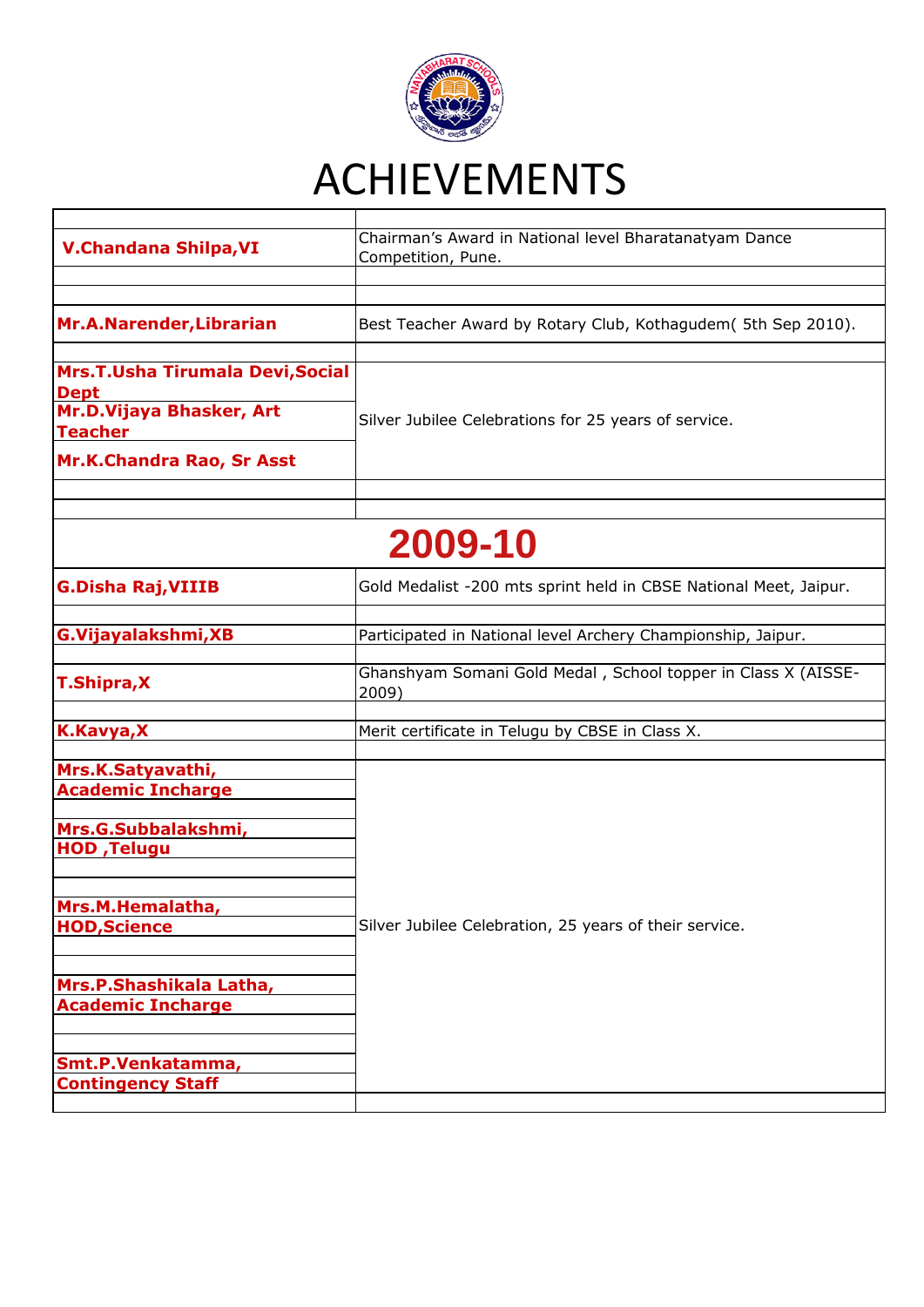

| <b>V.Chandana Shilpa, VI</b>                                                                                        | Chairman's Award in National level Bharatanatyam Dance<br>Competition, Pune. |  |
|---------------------------------------------------------------------------------------------------------------------|------------------------------------------------------------------------------|--|
| Mr.A.Narender, Librarian                                                                                            | Best Teacher Award by Rotary Club, Kothagudem (5th Sep 2010).                |  |
| Mrs.T.Usha Tirumala Devi, Social<br><b>Dept</b><br>Mr.D.Vijaya Bhasker, Art<br>Teacher<br>Mr.K.Chandra Rao, Sr Asst | Silver Jubilee Celebrations for 25 years of service.                         |  |
|                                                                                                                     |                                                                              |  |
| 2009-10                                                                                                             |                                                                              |  |
| <b>G.Disha Raj, VIIIB</b>                                                                                           | Gold Medalist -200 mts sprint held in CBSE National Meet, Jaipur.            |  |
| G.Vijayalakshmi, XB                                                                                                 | Participated in National level Archery Championship, Jaipur.                 |  |
| <b>T.Shipra, X</b>                                                                                                  | Ghanshyam Somani Gold Medal, School topper in Class X (AISSE-<br>2009)       |  |
| K.Kavya,X                                                                                                           | Merit certificate in Telugu by CBSE in Class X.                              |  |
| Mrs.K.Satyavathi,<br><b>Academic Incharge</b>                                                                       |                                                                              |  |
| Mrs.G.Subbalakshmi,<br><b>HOD, Telugu</b>                                                                           |                                                                              |  |
| Mrs.M.Hemalatha,<br><b>HOD, Science</b>                                                                             | Silver Jubilee Celebration, 25 years of their service.                       |  |
| Mrs.P.Shashikala Latha,<br><b>Academic Incharge</b>                                                                 |                                                                              |  |
| Smt.P.Venkatamma,<br><b>Contingency Staff</b>                                                                       |                                                                              |  |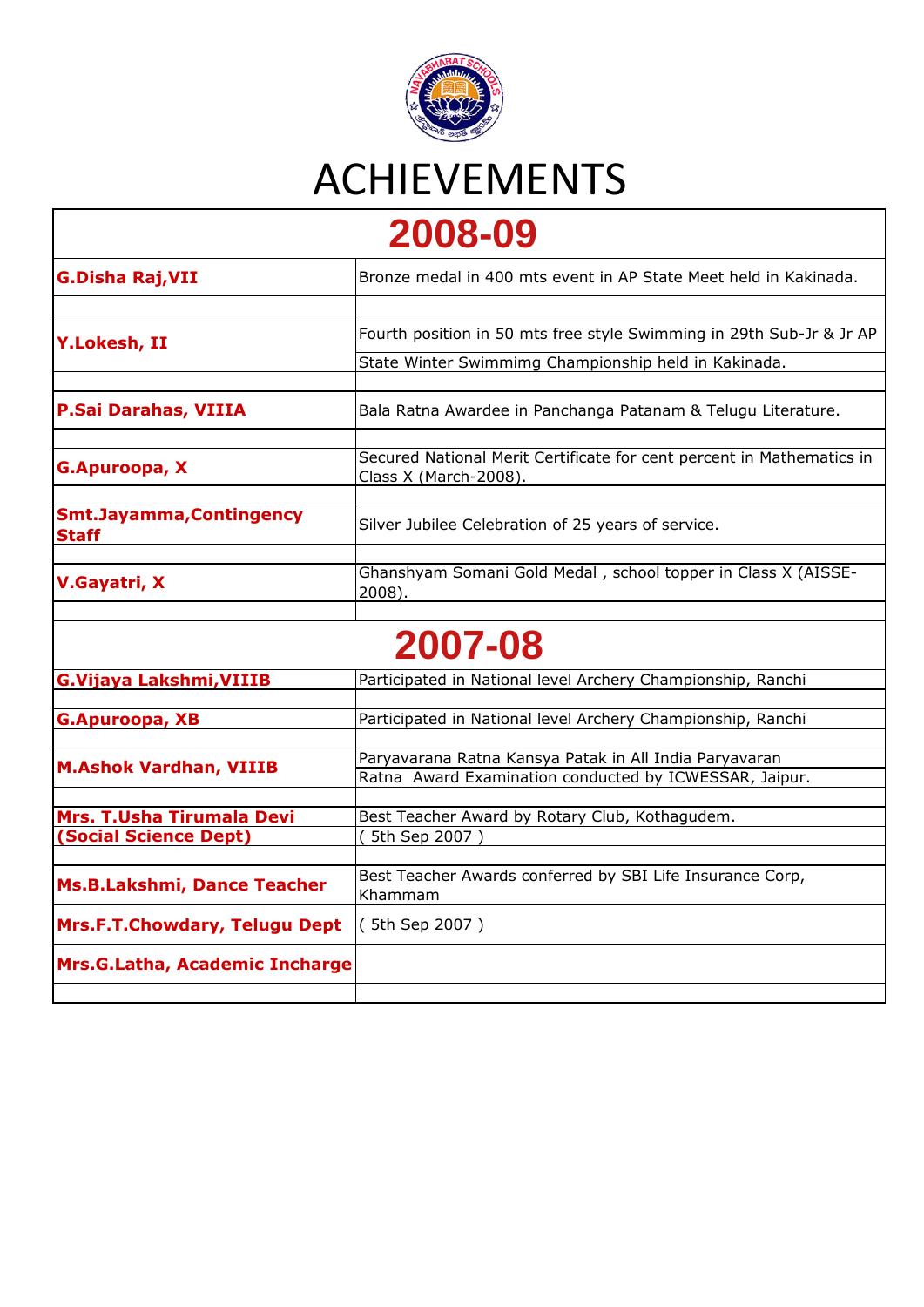

**[2](https://nbps.in/v1/achievements.php#top)008-09** 

| LUUU UJ                                         |                                                                                                                  |  |
|-------------------------------------------------|------------------------------------------------------------------------------------------------------------------|--|
| <b>G.Disha Raj, VII</b>                         | Bronze medal in 400 mts event in AP State Meet held in Kakinada.                                                 |  |
| <b>Y.Lokesh, II</b>                             | Fourth position in 50 mts free style Swimming in 29th Sub-Jr & Jr AP                                             |  |
|                                                 | State Winter Swimmimg Championship held in Kakinada.                                                             |  |
| P.Sai Darahas, VIIIA                            | Bala Ratna Awardee in Panchanga Patanam & Telugu Literature.                                                     |  |
| G.Apuroopa, X                                   | Secured National Merit Certificate for cent percent in Mathematics in<br>Class X (March-2008).                   |  |
| <b>Smt.Jayamma, Contingency</b><br><b>Staff</b> | Silver Jubilee Celebration of 25 years of service.                                                               |  |
| V.Gayatri, X                                    | Ghanshyam Somani Gold Medal, school topper in Class X (AISSE-<br>2008).                                          |  |
|                                                 | 2007-08                                                                                                          |  |
| <b>G.Vijaya Lakshmi, VIIIB</b>                  | Participated in National level Archery Championship, Ranchi                                                      |  |
| <b>G.Apuroopa, XB</b>                           | Participated in National level Archery Championship, Ranchi                                                      |  |
| <b>M.Ashok Vardhan, VIIIB</b>                   | Paryavarana Ratna Kansya Patak in All India Paryavaran<br>Ratna Award Examination conducted by ICWESSAR, Jaipur. |  |
| <b>Mrs. T.Usha Tirumala Devi</b>                | Best Teacher Award by Rotary Club, Kothagudem.                                                                   |  |
| <b>(Social Science Dept)</b>                    | 5th Sep 2007                                                                                                     |  |
| <b>Ms.B.Lakshmi, Dance Teacher</b>              | Best Teacher Awards conferred by SBI Life Insurance Corp,<br>Khammam                                             |  |
| <b>Mrs.F.T.Chowdary, Telugu Dept</b>            | (5th Sep 2007)                                                                                                   |  |
| Mrs.G.Latha, Academic Incharge                  |                                                                                                                  |  |
|                                                 |                                                                                                                  |  |